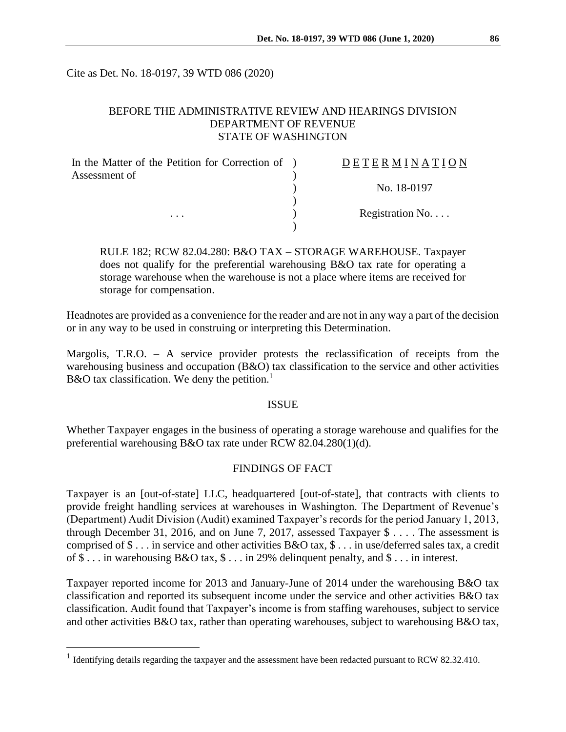Cite as Det. No. 18-0197, 39 WTD 086 (2020)

# BEFORE THE ADMINISTRATIVE REVIEW AND HEARINGS DIVISION DEPARTMENT OF REVENUE STATE OF WASHINGTON

| In the Matter of the Petition for Correction of )<br>Assessment of | DETERMINATION   |
|--------------------------------------------------------------------|-----------------|
|                                                                    | No. 18-0197     |
| $\cdots$                                                           | Registration No |
|                                                                    |                 |

RULE 182; RCW 82.04.280: B&O TAX – STORAGE WAREHOUSE. Taxpayer does not qualify for the preferential warehousing B&O tax rate for operating a storage warehouse when the warehouse is not a place where items are received for storage for compensation.

Headnotes are provided as a convenience for the reader and are not in any way a part of the decision or in any way to be used in construing or interpreting this Determination.

Margolis, T.R.O. – A service provider protests the reclassification of receipts from the warehousing business and occupation (B&O) tax classification to the service and other activities B&O tax classification. We deny the petition.<sup>1</sup>

### ISSUE

Whether Taxpayer engages in the business of operating a storage warehouse and qualifies for the preferential warehousing B&O tax rate under RCW 82.04.280(1)(d).

## FINDINGS OF FACT

Taxpayer is an [out-of-state] LLC, headquartered [out-of-state], that contracts with clients to provide freight handling services at warehouses in Washington. The Department of Revenue's (Department) Audit Division (Audit) examined Taxpayer's records for the period January 1, 2013, through December 31, 2016, and on June 7, 2017, assessed Taxpayer \$ . . . . The assessment is comprised of \$ . . . in service and other activities B&O tax, \$ . . . in use/deferred sales tax, a credit of \$ . . . in warehousing B&O tax, \$ . . . in 29% delinquent penalty, and \$ . . . in interest.

Taxpayer reported income for 2013 and January-June of 2014 under the warehousing B&O tax classification and reported its subsequent income under the service and other activities B&O tax classification. Audit found that Taxpayer's income is from staffing warehouses, subject to service and other activities B&O tax, rather than operating warehouses, subject to warehousing B&O tax,

 $\overline{a}$ 

<sup>&</sup>lt;sup>1</sup> Identifying details regarding the taxpayer and the assessment have been redacted pursuant to RCW 82.32.410.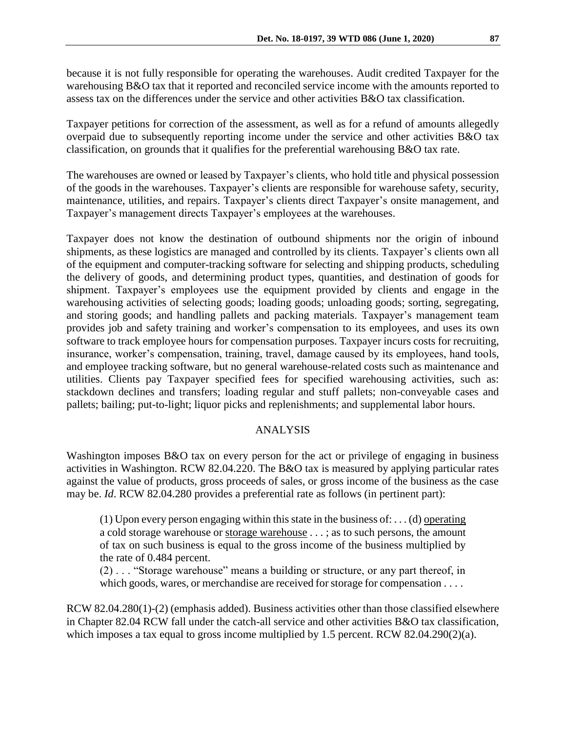because it is not fully responsible for operating the warehouses. Audit credited Taxpayer for the warehousing B&O tax that it reported and reconciled service income with the amounts reported to assess tax on the differences under the service and other activities B&O tax classification.

Taxpayer petitions for correction of the assessment, as well as for a refund of amounts allegedly overpaid due to subsequently reporting income under the service and other activities B&O tax classification, on grounds that it qualifies for the preferential warehousing B&O tax rate.

The warehouses are owned or leased by Taxpayer's clients, who hold title and physical possession of the goods in the warehouses. Taxpayer's clients are responsible for warehouse safety, security, maintenance, utilities, and repairs. Taxpayer's clients direct Taxpayer's onsite management, and Taxpayer's management directs Taxpayer's employees at the warehouses.

Taxpayer does not know the destination of outbound shipments nor the origin of inbound shipments, as these logistics are managed and controlled by its clients. Taxpayer's clients own all of the equipment and computer-tracking software for selecting and shipping products, scheduling the delivery of goods, and determining product types, quantities, and destination of goods for shipment. Taxpayer's employees use the equipment provided by clients and engage in the warehousing activities of selecting goods; loading goods; unloading goods; sorting, segregating, and storing goods; and handling pallets and packing materials. Taxpayer's management team provides job and safety training and worker's compensation to its employees, and uses its own software to track employee hours for compensation purposes. Taxpayer incurs costs for recruiting, insurance, worker's compensation, training, travel, damage caused by its employees, hand tools, and employee tracking software, but no general warehouse-related costs such as maintenance and utilities. Clients pay Taxpayer specified fees for specified warehousing activities, such as: stackdown declines and transfers; loading regular and stuff pallets; non-conveyable cases and pallets; bailing; put-to-light; liquor picks and replenishments; and supplemental labor hours.

### ANALYSIS

Washington imposes B&O tax on every person for the act or privilege of engaging in business activities in Washington. RCW 82.04.220. The B&O tax is measured by applying particular rates against the value of products, gross proceeds of sales, or gross income of the business as the case may be. *Id*. RCW 82.04.280 provides a preferential rate as follows (in pertinent part):

 $(1)$  Upon every person engaging within this state in the business of: . . . (d) operating a cold storage warehouse or storage warehouse . . . ; as to such persons, the amount of tax on such business is equal to the gross income of the business multiplied by the rate of 0.484 percent.

(2) . . . "Storage warehouse" means a building or structure, or any part thereof, in which goods, wares, or merchandise are received for storage for compensation . . . .

RCW 82.04.280(1)-(2) (emphasis added). Business activities other than those classified elsewhere in Chapter 82.04 RCW fall under the catch-all service and other activities B&O tax classification, which imposes a tax equal to gross income multiplied by 1.5 percent. RCW 82.04.290(2)(a).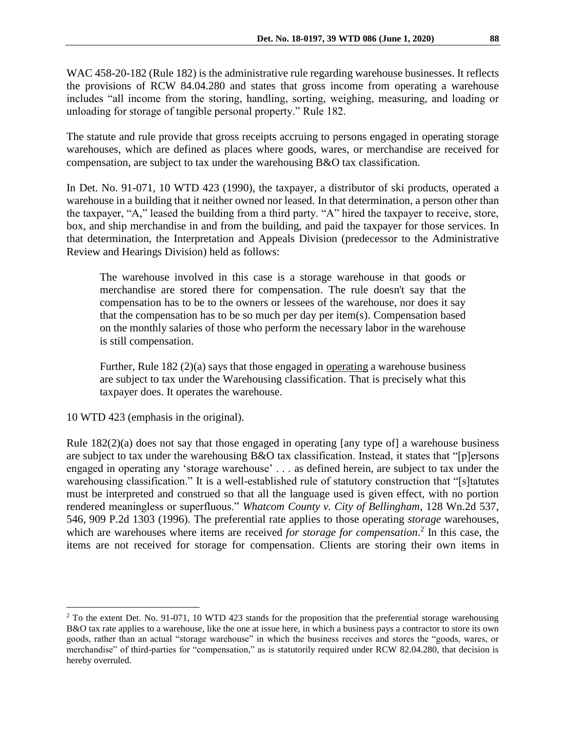WAC 458-20-182 (Rule 182) is the administrative rule regarding warehouse businesses. It reflects the provisions of RCW 84.04.280 and states that gross income from operating a warehouse includes "all income from the storing, handling, sorting, weighing, measuring, and loading or unloading for storage of tangible personal property." Rule 182.

The statute and rule provide that gross receipts accruing to persons engaged in operating storage warehouses, which are defined as places where goods, wares, or merchandise are received for compensation, are subject to tax under the warehousing B&O tax classification.

In Det. No. 91-071, 10 WTD 423 (1990), the taxpayer, a distributor of ski products, operated a warehouse in a building that it neither owned nor leased. In that determination, a person other than the taxpayer, "A," leased the building from a third party. "A" hired the taxpayer to receive, store, box, and ship merchandise in and from the building, and paid the taxpayer for those services. In that determination, the Interpretation and Appeals Division (predecessor to the Administrative Review and Hearings Division) held as follows:

The warehouse involved in this case is a storage warehouse in that goods or merchandise are stored there for compensation. The rule doesn't say that the compensation has to be to the owners or lessees of the warehouse, nor does it say that the compensation has to be so much per day per item(s). Compensation based on the monthly salaries of those who perform the necessary labor in the warehouse is still compensation.

Further, Rule 182 (2)(a) says that those engaged in operating a warehouse business are subject to tax under the Warehousing classification. That is precisely what this taxpayer does. It operates the warehouse.

10 WTD 423 (emphasis in the original).

 $\overline{a}$ 

Rule 182(2)(a) does not say that those engaged in operating [any type of] a warehouse business are subject to tax under the warehousing B&O tax classification. Instead, it states that "[p]ersons engaged in operating any 'storage warehouse' . . . as defined herein, are subject to tax under the warehousing classification." It is a well-established rule of statutory construction that "[s]tatutes must be interpreted and construed so that all the language used is given effect, with no portion rendered meaningless or superfluous." *Whatcom County v. City of Bellingham*, 128 Wn.2d 537, 546, 909 P.2d 1303 (1996). The preferential rate applies to those operating *storage* warehouses, which are warehouses where items are received *for storage for compensation*. 2 In this case, the items are not received for storage for compensation. Clients are storing their own items in

<sup>&</sup>lt;sup>2</sup> To the extent Det. No. 91-071, 10 WTD 423 stands for the proposition that the preferential storage warehousing B&O tax rate applies to a warehouse, like the one at issue here, in which a business pays a contractor to store its own goods, rather than an actual "storage warehouse" in which the business receives and stores the "goods, wares, or merchandise" of third-parties for "compensation," as is statutorily required under RCW 82.04.280, that decision is hereby overruled.